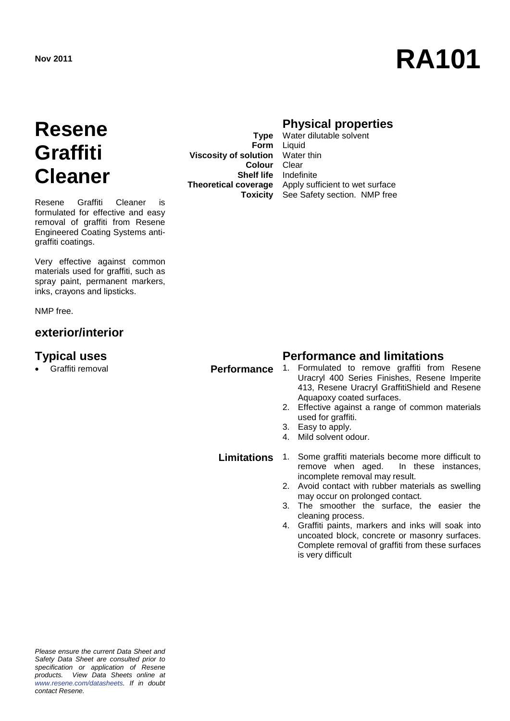# **Nov 2011 RA101**

## **Resene Graffiti Cleaner**

Resene Graffiti Cleaner is formulated for effective and easy removal of graffiti from Resene Engineered Coating Systems antigraffiti coatings.

Very effective against common materials used for graffiti, such as spray paint, permanent markers, inks, crayons and lipsticks.

NMP free.

#### **exterior/interior**

**Viscosity of solution** Water thin **Colour** Clear **Shelf life** Indefinite

### **Physical properties**

**Type** Water dilutable solvent **Form** Liquid **Theoretical coverage** Apply sufficient to wet surface **Toxicity** See Safety section. NMP free

## **Typical uses Performance and limitations**

- Graffiti removal **Performance** 1. Formulated to remove graffiti from Resene Uracryl 400 Series Finishes, Resene Imperite 413, Resene Uracryl GraffitiShield and Resene Aquapoxy coated surfaces.
	- 2. Effective against a range of common materials used for graffiti.
	- 3. Easy to apply.<br>4. Mild solvent or
	- Mild solvent odour.

**Limitations** 1. Some graffiti materials become more difficult to<br>remove when aged. In these instances. remove when aged. incomplete removal may result.

- 2. Avoid contact with rubber materials as swelling may occur on prolonged contact.
- 3. The smoother the surface, the easier the cleaning process.
- 4. Graffiti paints, markers and inks will soak into uncoated block, concrete or masonry surfaces. Complete removal of graffiti from these surfaces is very difficult

*Please ensure the current Data Sheet and Safety Data Sheet are consulted prior to specification or application of Resene products. View Data Sheets online at [www.resene.com/datasheets.](http://www.resene.com/datasheets) If in doubt contact Resene.*